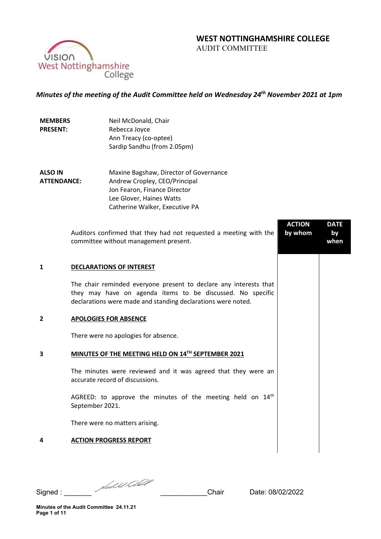# **WEST NOTTINGHAMSHIRE COLLEGE**  AUDIT COMMITTEE

VISION West Nottinghamshire College

*Minutes of the meeting of the Audit Committee held on Wednesday 24th November 2021 at 1pm*

**MEMBERS PRESENT:** Neil McDonald, Chair Rebecca Joyce Ann Treacy (co-optee) Sardip Sandhu (from 2.05pm)

**ALSO IN ATTENDANCE:** Maxine Bagshaw, Director of Governance Andrew Cropley, CEO/Principal Jon Fearon, Finance Director Lee Glover, Haines Watts Catherine Walker, Executive PA

Auditors confirmed that they had not requested a meeting with the committee without management present. **ACTION by whom DATE by when 1 DECLARATIONS OF INTEREST** The chair reminded everyone present to declare any interests that they may have on agenda items to be discussed. No specific declarations were made and standing declarations were noted. **2 APOLOGIES FOR ABSENCE**  There were no apologies for absence. **3 MINUTES OF THE MEETING HELD ON 14TH SEPTEMBER 2021** The minutes were reviewed and it was agreed that they were an accurate record of discussions. AGREED: to approve the minutes of the meeting held on  $14<sup>th</sup>$ September 2021. There were no matters arising. **4 ACTION PROGRESS REPORT**

Signed : \_\_\_\_\_\_\_ \_\_\_\_\_\_\_\_\_\_\_\_Chair Date: 08/02/2022

**Minutes of the Audit Committee 24.11.21 Page 1 of 11**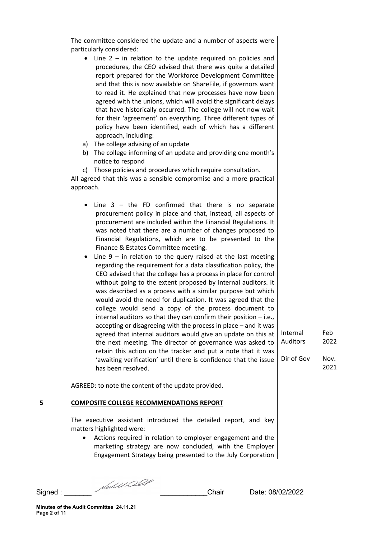|   | The committee considered the update and a number of aspects were<br>particularly considered:<br>$\bullet$ Line 2 – in relation to the update required on policies and<br>procedures, the CEO advised that there was quite a detailed<br>report prepared for the Workforce Development Committee<br>and that this is now available on ShareFile, if governors want<br>to read it. He explained that new processes have now been<br>agreed with the unions, which will avoid the significant delays<br>that have historically occurred. The college will not now wait<br>for their 'agreement' on everything. Three different types of<br>policy have been identified, each of which has a different<br>approach, including:<br>a) The college advising of an update<br>b) The college informing of an update and providing one month's<br>notice to respond<br>c) Those policies and procedures which require consultation.<br>All agreed that this was a sensible compromise and a more practical<br>approach.<br>Line $3 -$ the FD confirmed that there is no separate<br>٠<br>procurement policy in place and that, instead, all aspects of<br>procurement are included within the Financial Regulations. It<br>was noted that there are a number of changes proposed to<br>Financial Regulations, which are to be presented to the<br>Finance & Estates Committee meeting.<br>Line $9$ – in relation to the query raised at the last meeting<br>$\bullet$<br>regarding the requirement for a data classification policy, the |                                    |                             |
|---|---------------------------------------------------------------------------------------------------------------------------------------------------------------------------------------------------------------------------------------------------------------------------------------------------------------------------------------------------------------------------------------------------------------------------------------------------------------------------------------------------------------------------------------------------------------------------------------------------------------------------------------------------------------------------------------------------------------------------------------------------------------------------------------------------------------------------------------------------------------------------------------------------------------------------------------------------------------------------------------------------------------------------------------------------------------------------------------------------------------------------------------------------------------------------------------------------------------------------------------------------------------------------------------------------------------------------------------------------------------------------------------------------------------------------------------------------------------------------------------------------------------------------------|------------------------------------|-----------------------------|
| 5 | CEO advised that the college has a process in place for control<br>without going to the extent proposed by internal auditors. It<br>was described as a process with a similar purpose but which<br>would avoid the need for duplication. It was agreed that the<br>college would send a copy of the process document to<br>internal auditors so that they can confirm their position $-$ i.e.,<br>accepting or disagreeing with the process in place - and it was<br>agreed that internal auditors would give an update on this at<br>the next meeting. The director of governance was asked to<br>retain this action on the tracker and put a note that it was<br>'awaiting verification' until there is confidence that the issue<br>has been resolved.<br>AGREED: to note the content of the update provided.<br><b>COMPOSITE COLLEGE RECOMMENDATIONS REPORT</b>                                                                                                                                                                                                                                                                                                                                                                                                                                                                                                                                                                                                                                                             | Internal<br>Auditors<br>Dir of Gov | Feb<br>2022<br>Nov.<br>2021 |
|   | The executive assistant introduced the detailed report, and key<br>matters highlighted were:<br>Actions required in relation to employer engagement and the<br>marketing strategy are now concluded, with the Employer<br>Engagement Strategy being presented to the July Corporation                                                                                                                                                                                                                                                                                                                                                                                                                                                                                                                                                                                                                                                                                                                                                                                                                                                                                                                                                                                                                                                                                                                                                                                                                                           |                                    |                             |

Signed : \_\_\_\_\_\_\_ \_\_\_\_\_\_\_\_\_\_\_\_Chair Date: 08/02/2022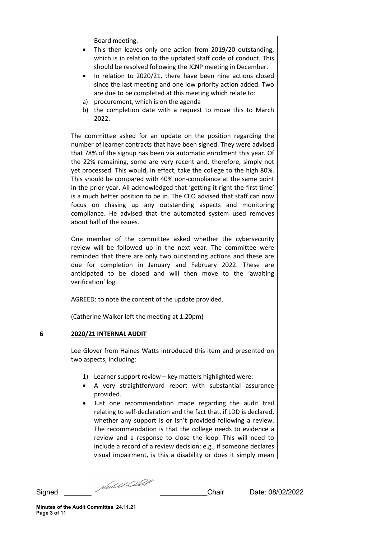Board meeting.

- This then leaves only one action from 2019/20 outstanding, which is in relation to the updated staff code of conduct. This should be resolved following the JCNP meeting in December.
- In relation to 2020/21, there have been nine actions closed since the last meeting and one low priority action added. Two are due to be completed at this meeting which relate to:
- a) procurement, which is on the agenda
- b) the completion date with a request to move this to March 2022.

The committee asked for an update on the position regarding the number of learner contracts that have been signed. They were advised that 78% of the signup has been via automatic enrolment this year. Of the 22% remaining, some are very recent and, therefore, simply not yet processed. This would, in effect, take the college to the high 80%. This should be compared with 40% non-compliance at the same point in the prior year. All acknowledged that 'getting it right the first time' is a much better position to be in. The CEO advised that staff can now focus on chasing up any outstanding aspects and monitoring compliance. He advised that the automated system used removes about half of the issues.

One member of the committee asked whether the cybersecurity review will be followed up in the next year. The committee were reminded that there are only two outstanding actions and these are due for completion in January and February 2022. These are anticipated to be closed and will then move to the 'awaiting verification' log.

AGREED: to note the content of the update provided.

(Catherine Walker left the meeting at 1.20pm)

## **6 2020/21 INTERNAL AUDIT**

Lee Glover from Haines Watts introduced this item and presented on two aspects, including:

- 1) Learner support review key matters highlighted were:
- A very straightforward report with substantial assurance provided.
- Just one recommendation made regarding the audit trail relating to self-declaration and the fact that, if LDD is declared, whether any support is or isn't provided following a review. The recommendation is that the college needs to evidence a review and a response to close the loop. This will need to include a record of a review decision: e.g., if someone declares visual impairment, is this a disability or does it simply mean

Signed : \_\_\_\_\_\_\_ \_\_\_\_\_\_\_\_\_\_\_\_Chair Date: 08/02/2022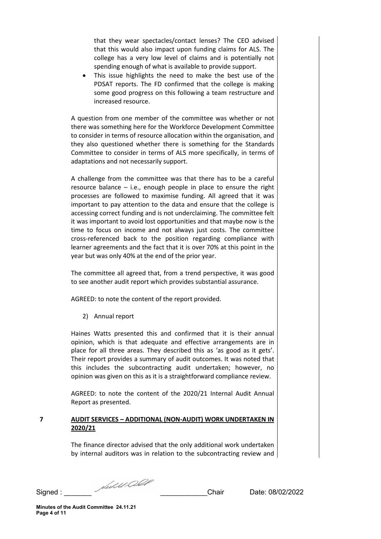that they wear spectacles/contact lenses? The CEO advised that this would also impact upon funding claims for ALS. The college has a very low level of claims and is potentially not spending enough of what is available to provide support.

• This issue highlights the need to make the best use of the PDSAT reports. The FD confirmed that the college is making some good progress on this following a team restructure and increased resource.

A question from one member of the committee was whether or not there was something here for the Workforce Development Committee to consider in terms of resource allocation within the organisation, and they also questioned whether there is something for the Standards Committee to consider in terms of ALS more specifically, in terms of adaptations and not necessarily support.

A challenge from the committee was that there has to be a careful resource balance  $-$  i.e., enough people in place to ensure the right processes are followed to maximise funding. All agreed that it was important to pay attention to the data and ensure that the college is accessing correct funding and is not underclaiming. The committee felt it was important to avoid lost opportunities and that maybe now is the time to focus on income and not always just costs. The committee cross-referenced back to the position regarding compliance with learner agreements and the fact that it is over 70% at this point in the year but was only 40% at the end of the prior year.

The committee all agreed that, from a trend perspective, it was good to see another audit report which provides substantial assurance.

AGREED: to note the content of the report provided.

2) Annual report

Haines Watts presented this and confirmed that it is their annual opinion, which is that adequate and effective arrangements are in place for all three areas. They described this as 'as good as it gets'. Their report provides a summary of audit outcomes. It was noted that this includes the subcontracting audit undertaken; however, no opinion was given on this as it is a straightforward compliance review.

AGREED: to note the content of the 2020/21 Internal Audit Annual Report as presented.

# **7 AUDIT SERVICES – ADDITIONAL (NON-AUDIT) WORK UNDERTAKEN IN 2020/21**

The finance director advised that the only additional work undertaken by internal auditors was in relation to the subcontracting review and

Signed : \_\_\_\_\_\_\_ \_\_\_\_\_\_\_\_\_\_\_\_Chair Date: 08/02/2022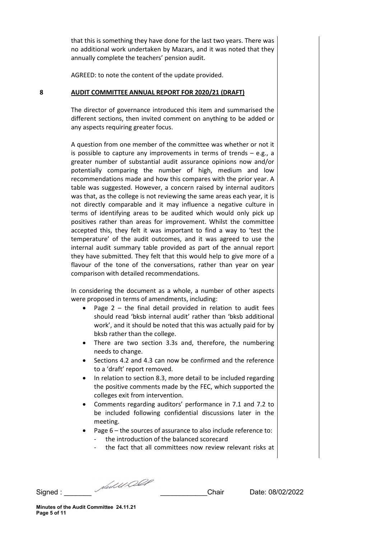that this is something they have done for the last two years. There was no additional work undertaken by Mazars, and it was noted that they annually complete the teachers' pension audit.

AGREED: to note the content of the update provided.

### **8 AUDIT COMMITTEE ANNUAL REPORT FOR 2020/21 (DRAFT)**

The director of governance introduced this item and summarised the different sections, then invited comment on anything to be added or any aspects requiring greater focus.

A question from one member of the committee was whether or not it is possible to capture any improvements in terms of trends  $-$  e.g., a greater number of substantial audit assurance opinions now and/or potentially comparing the number of high, medium and low recommendations made and how this compares with the prior year. A table was suggested. However, a concern raised by internal auditors was that, as the college is not reviewing the same areas each year, it is not directly comparable and it may influence a negative culture in terms of identifying areas to be audited which would only pick up positives rather than areas for improvement. Whilst the committee accepted this, they felt it was important to find a way to 'test the temperature' of the audit outcomes, and it was agreed to use the internal audit summary table provided as part of the annual report they have submitted. They felt that this would help to give more of a flavour of the tone of the conversations, rather than year on year comparison with detailed recommendations.

In considering the document as a whole, a number of other aspects were proposed in terms of amendments, including:

- Page  $2$  the final detail provided in relation to audit fees should read 'bksb internal audit' rather than 'bksb additional work', and it should be noted that this was actually paid for by bksb rather than the college.
- There are two section 3.3s and, therefore, the numbering needs to change.
- Sections 4.2 and 4.3 can now be confirmed and the reference to a 'draft' report removed.
- In relation to section 8.3, more detail to be included regarding the positive comments made by the FEC, which supported the colleges exit from intervention.
- Comments regarding auditors' performance in 7.1 and 7.2 to be included following confidential discussions later in the meeting.
- Page 6 the sources of assurance to also include reference to:
	- the introduction of the balanced scorecard
	- the fact that all committees now review relevant risks at

Signed : \_\_\_\_\_\_\_ \_\_\_\_\_\_\_\_\_\_\_\_Chair Date: 08/02/2022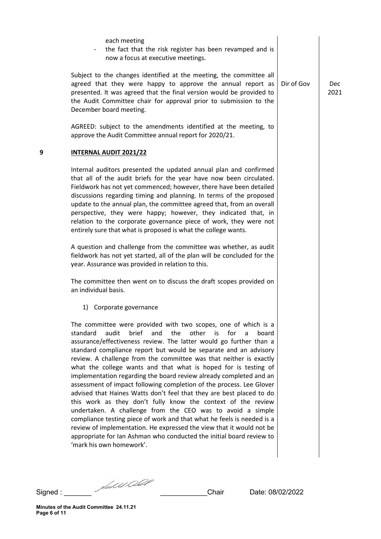|   | each meeting<br>the fact that the risk register has been revamped and is<br>now a focus at executive meetings.                                                                                                                                                                                                                                                                                                                                                                                                                                                                                                                                                                                                                                                                                                                                                                                                                                                                                                                           |            |
|---|------------------------------------------------------------------------------------------------------------------------------------------------------------------------------------------------------------------------------------------------------------------------------------------------------------------------------------------------------------------------------------------------------------------------------------------------------------------------------------------------------------------------------------------------------------------------------------------------------------------------------------------------------------------------------------------------------------------------------------------------------------------------------------------------------------------------------------------------------------------------------------------------------------------------------------------------------------------------------------------------------------------------------------------|------------|
|   | Subject to the changes identified at the meeting, the committee all<br>agreed that they were happy to approve the annual report as<br>presented. It was agreed that the final version would be provided to<br>the Audit Committee chair for approval prior to submission to the<br>December board meeting.                                                                                                                                                                                                                                                                                                                                                                                                                                                                                                                                                                                                                                                                                                                               | Dir of Gov |
|   | AGREED: subject to the amendments identified at the meeting, to<br>approve the Audit Committee annual report for 2020/21.                                                                                                                                                                                                                                                                                                                                                                                                                                                                                                                                                                                                                                                                                                                                                                                                                                                                                                                |            |
| 9 | <b>INTERNAL AUDIT 2021/22</b>                                                                                                                                                                                                                                                                                                                                                                                                                                                                                                                                                                                                                                                                                                                                                                                                                                                                                                                                                                                                            |            |
|   | Internal auditors presented the updated annual plan and confirmed<br>that all of the audit briefs for the year have now been circulated.<br>Fieldwork has not yet commenced; however, there have been detailed<br>discussions regarding timing and planning. In terms of the proposed<br>update to the annual plan, the committee agreed that, from an overall<br>perspective, they were happy; however, they indicated that, in<br>relation to the corporate governance piece of work, they were not<br>entirely sure that what is proposed is what the college wants.                                                                                                                                                                                                                                                                                                                                                                                                                                                                  |            |
|   | A question and challenge from the committee was whether, as audit<br>fieldwork has not yet started, all of the plan will be concluded for the<br>year. Assurance was provided in relation to this.                                                                                                                                                                                                                                                                                                                                                                                                                                                                                                                                                                                                                                                                                                                                                                                                                                       |            |
|   | The committee then went on to discuss the draft scopes provided on<br>an individual basis.                                                                                                                                                                                                                                                                                                                                                                                                                                                                                                                                                                                                                                                                                                                                                                                                                                                                                                                                               |            |
|   | 1) Corporate governance                                                                                                                                                                                                                                                                                                                                                                                                                                                                                                                                                                                                                                                                                                                                                                                                                                                                                                                                                                                                                  |            |
|   | The committee were provided with two scopes, one of which is a<br>brief<br>other is<br>standard<br>audit<br>and<br>the<br>for<br>a<br>board<br>assurance/effectiveness review. The latter would go further than a<br>standard compliance report but would be separate and an advisory<br>review. A challenge from the committee was that neither is exactly<br>what the college wants and that what is hoped for is testing of<br>implementation regarding the board review already completed and an<br>assessment of impact following completion of the process. Lee Glover<br>advised that Haines Watts don't feel that they are best placed to do<br>this work as they don't fully know the context of the review<br>undertaken. A challenge from the CEO was to avoid a simple<br>compliance testing piece of work and that what he feels is needed is a<br>review of implementation. He expressed the view that it would not be<br>appropriate for Ian Ashman who conducted the initial board review to<br>'mark his own homework'. |            |
|   |                                                                                                                                                                                                                                                                                                                                                                                                                                                                                                                                                                                                                                                                                                                                                                                                                                                                                                                                                                                                                                          |            |

Signed : \_\_\_\_\_\_\_ \_\_\_\_\_\_\_\_\_\_\_\_Chair Date: 08/02/2022

Dec 2021

**Minutes of the Audit Committee 24.11.21 Page 6 of 11**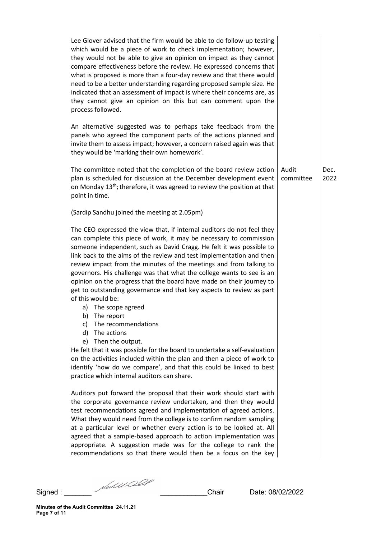| Lee Glover advised that the firm would be able to do follow-up testing<br>which would be a piece of work to check implementation; however,<br>they would not be able to give an opinion on impact as they cannot<br>compare effectiveness before the review. He expressed concerns that<br>what is proposed is more than a four-day review and that there would<br>need to be a better understanding regarding proposed sample size. He<br>indicated that an assessment of impact is where their concerns are, as<br>they cannot give an opinion on this but can comment upon the<br>process followed.                                                                                                                                                                                                            |                    |              |
|-------------------------------------------------------------------------------------------------------------------------------------------------------------------------------------------------------------------------------------------------------------------------------------------------------------------------------------------------------------------------------------------------------------------------------------------------------------------------------------------------------------------------------------------------------------------------------------------------------------------------------------------------------------------------------------------------------------------------------------------------------------------------------------------------------------------|--------------------|--------------|
| An alternative suggested was to perhaps take feedback from the<br>panels who agreed the component parts of the actions planned and<br>invite them to assess impact; however, a concern raised again was that<br>they would be 'marking their own homework'.                                                                                                                                                                                                                                                                                                                                                                                                                                                                                                                                                       |                    |              |
| The committee noted that the completion of the board review action<br>plan is scheduled for discussion at the December development event<br>on Monday 13 <sup>th</sup> ; therefore, it was agreed to review the position at that<br>point in time.                                                                                                                                                                                                                                                                                                                                                                                                                                                                                                                                                                | Audit<br>committee | Dec.<br>2022 |
| (Sardip Sandhu joined the meeting at 2.05pm)                                                                                                                                                                                                                                                                                                                                                                                                                                                                                                                                                                                                                                                                                                                                                                      |                    |              |
| The CEO expressed the view that, if internal auditors do not feel they<br>can complete this piece of work, it may be necessary to commission<br>someone independent, such as David Cragg. He felt it was possible to<br>link back to the aims of the review and test implementation and then<br>review impact from the minutes of the meetings and from talking to<br>governors. His challenge was that what the college wants to see is an<br>opinion on the progress that the board have made on their journey to<br>get to outstanding governance and that key aspects to review as part<br>of this would be:<br>a) The scope agreed<br>b) The report<br>The recommendations<br>C)<br>The actions<br>d)<br>Then the output.<br>e)<br>He felt that it was possible for the board to undertake a self-evaluation |                    |              |
| on the activities included within the plan and then a piece of work to<br>identify 'how do we compare', and that this could be linked to best<br>practice which internal auditors can share.                                                                                                                                                                                                                                                                                                                                                                                                                                                                                                                                                                                                                      |                    |              |
| Auditors put forward the proposal that their work should start with<br>the corporate governance review undertaken, and then they would<br>test recommendations agreed and implementation of agreed actions.<br>What they would need from the college is to confirm random sampling<br>at a particular level or whether every action is to be looked at. All<br>agreed that a sample-based approach to action implementation was<br>appropriate. A suggestion made was for the college to rank the<br>recommendations so that there would then be a focus on the key                                                                                                                                                                                                                                               |                    |              |

Signed : \_\_\_\_\_\_\_ \_\_\_\_\_\_\_\_\_\_\_\_Chair Date: 08/02/2022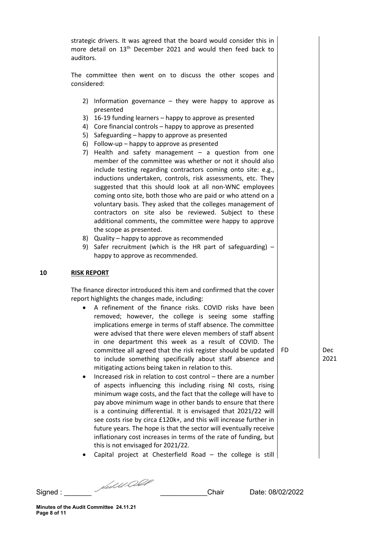strategic drivers. It was agreed that the board would consider this in more detail on 13<sup>th</sup> December 2021 and would then feed back to auditors.

The committee then went on to discuss the other scopes and considered:

- 2) Information governance they were happy to approve as presented
- 3) 16-19 funding learners happy to approve as presented
- 4) Core financial controls happy to approve as presented
- 5) Safeguarding happy to approve as presented
- 6) Follow-up happy to approve as presented
- 7) Health and safety management a question from one member of the committee was whether or not it should also include testing regarding contractors coming onto site: e.g., inductions undertaken, controls, risk assessments, etc. They suggested that this should look at all non-WNC employees coming onto site, both those who are paid or who attend on a voluntary basis. They asked that the colleges management of contractors on site also be reviewed. Subject to these additional comments, the committee were happy to approve the scope as presented.
- 8) Quality happy to approve as recommended
- 9) Safer recruitment (which is the HR part of safeguarding) happy to approve as recommended.

## **10 RISK REPORT**

The finance director introduced this item and confirmed that the cover report highlights the changes made, including:

- A refinement of the finance risks. COVID risks have been removed; however, the college is seeing some staffing implications emerge in terms of staff absence. The committee were advised that there were eleven members of staff absent in one department this week as a result of COVID. The committee all agreed that the risk register should be updated to include something specifically about staff absence and mitigating actions being taken in relation to this. FD Dec
- Increased risk in relation to cost control there are a number of aspects influencing this including rising NI costs, rising minimum wage costs, and the fact that the college will have to pay above minimum wage in other bands to ensure that there is a continuing differential. It is envisaged that 2021/22 will see costs rise by circa £120k+, and this will increase further in future years. The hope is that the sector will eventually receive inflationary cost increases in terms of the rate of funding, but this is not envisaged for 2021/22.
- Capital project at Chesterfield Road  $-$  the college is still

Signed : \_\_\_\_\_\_\_ \_\_\_\_\_\_\_\_\_\_\_\_Chair Date: 08/02/2022

2021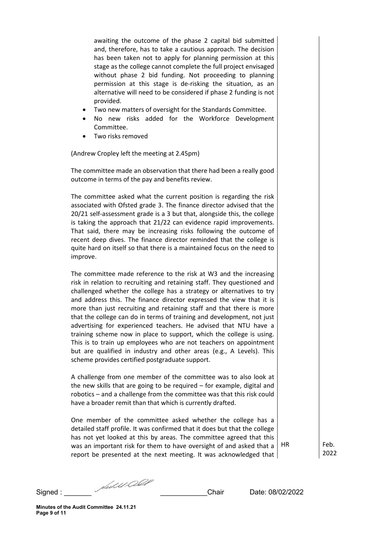awaiting the outcome of the phase 2 capital bid submitted and, therefore, has to take a cautious approach. The decision has been taken not to apply for planning permission at this stage as the college cannot complete the full project envisaged without phase 2 bid funding. Not proceeding to planning permission at this stage is de-risking the situation, as an alternative will need to be considered if phase 2 funding is not provided.

- Two new matters of oversight for the Standards Committee.
- No new risks added for the Workforce Development Committee.
- Two risks removed

(Andrew Cropley left the meeting at 2.45pm)

The committee made an observation that there had been a really good outcome in terms of the pay and benefits review.

The committee asked what the current position is regarding the risk associated with Ofsted grade 3. The finance director advised that the 20/21 self-assessment grade is a 3 but that, alongside this, the college is taking the approach that 21/22 can evidence rapid improvements. That said, there may be increasing risks following the outcome of recent deep dives. The finance director reminded that the college is quite hard on itself so that there is a maintained focus on the need to improve.

The committee made reference to the risk at W3 and the increasing risk in relation to recruiting and retaining staff. They questioned and challenged whether the college has a strategy or alternatives to try and address this. The finance director expressed the view that it is more than just recruiting and retaining staff and that there is more that the college can do in terms of training and development, not just advertising for experienced teachers. He advised that NTU have a training scheme now in place to support, which the college is using. This is to train up employees who are not teachers on appointment but are qualified in industry and other areas (e.g., A Levels). This scheme provides certified postgraduate support.

A challenge from one member of the committee was to also look at the new skills that are going to be required – for example, digital and robotics – and a challenge from the committee was that this risk could have a broader remit than that which is currently drafted.

One member of the committee asked whether the college has a detailed staff profile. It was confirmed that it does but that the college has not yet looked at this by areas. The committee agreed that this was an important risk for them to have oversight of and asked that a report be presented at the next meeting. It was acknowledged that

HR Feb. 2022

Signed : \_\_\_\_\_\_\_ \_\_\_\_\_\_\_\_\_\_\_\_Chair Date: 08/02/2022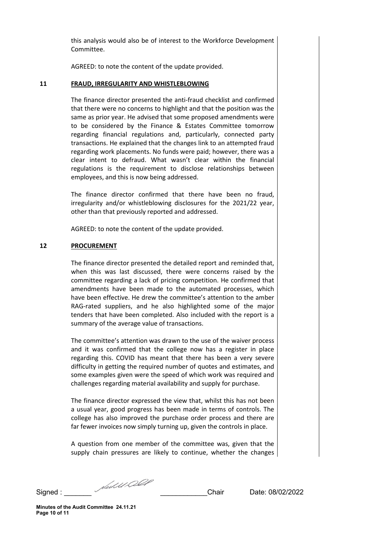this analysis would also be of interest to the Workforce Development Committee.

AGREED: to note the content of the update provided.

### **11 FRAUD, IRREGULARITY AND WHISTLEBLOWING**

The finance director presented the anti-fraud checklist and confirmed that there were no concerns to highlight and that the position was the same as prior year. He advised that some proposed amendments were to be considered by the Finance & Estates Committee tomorrow regarding financial regulations and, particularly, connected party transactions. He explained that the changes link to an attempted fraud regarding work placements. No funds were paid; however, there was a clear intent to defraud. What wasn't clear within the financial regulations is the requirement to disclose relationships between employees, and this is now being addressed.

The finance director confirmed that there have been no fraud, irregularity and/or whistleblowing disclosures for the 2021/22 year, other than that previously reported and addressed.

AGREED: to note the content of the update provided.

## **12 PROCUREMENT**

The finance director presented the detailed report and reminded that, when this was last discussed, there were concerns raised by the committee regarding a lack of pricing competition. He confirmed that amendments have been made to the automated processes, which have been effective. He drew the committee's attention to the amber RAG-rated suppliers, and he also highlighted some of the major tenders that have been completed. Also included with the report is a summary of the average value of transactions.

The committee's attention was drawn to the use of the waiver process and it was confirmed that the college now has a register in place regarding this. COVID has meant that there has been a very severe difficulty in getting the required number of quotes and estimates, and some examples given were the speed of which work was required and challenges regarding material availability and supply for purchase.

The finance director expressed the view that, whilst this has not been a usual year, good progress has been made in terms of controls. The college has also improved the purchase order process and there are far fewer invoices now simply turning up, given the controls in place.

A question from one member of the committee was, given that the supply chain pressures are likely to continue, whether the changes

Signed : \_\_\_\_\_\_\_ \_\_\_\_\_\_\_\_\_\_\_\_Chair Date: 08/02/2022